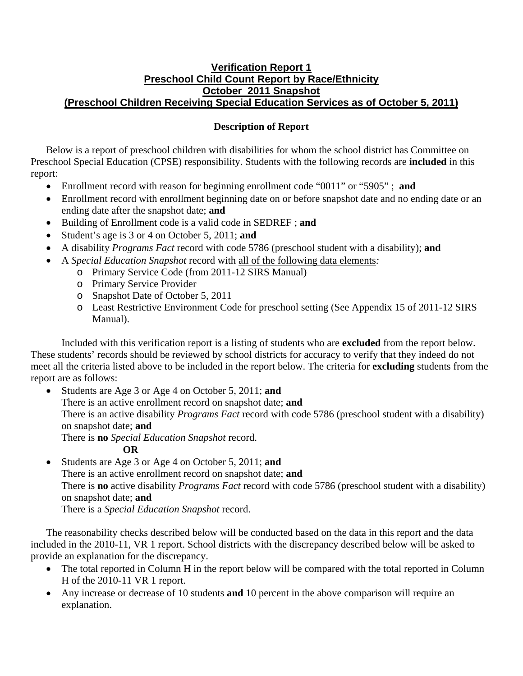## **Verification Report 1 Preschool Child Count Report by Race/Ethnicity October 2011 Snapshot (Preschool Children Receiving Special Education Services as of October 5, 2011)**

## **Description of Report**

Below is a report of preschool children with disabilities for whom the school district has Committee on Preschool Special Education (CPSE) responsibility. Students with the following records are **included** in this report:

- Enrollment record with reason for beginning enrollment code "0011" or "5905" ; **and**
- Enrollment record with enrollment beginning date on or before snapshot date and no ending date or an ending date after the snapshot date; **and**
- Building of Enrollment code is a valid code in SEDREF ; **and**
- Student's age is 3 or 4 on October 5, 2011; **and**
- A disability *Programs Fact* record with code 5786 (preschool student with a disability); **and**
- A *Special Education Snapshot* record with all of the following data elements*:*
	- o Primary Service Code (from 2011-12 SIRS Manual)
	- o Primary Service Provider
	- o Snapshot Date of October 5, 2011
	- o Least Restrictive Environment Code for preschool setting (See Appendix 15 of 2011-12 SIRS Manual).

Included with this verification report is a listing of students who are **excluded** from the report below. These students' records should be reviewed by school districts for accuracy to verify that they indeed do not meet all the criteria listed above to be included in the report below. The criteria for **excluding** students from the report are as follows:

• Students are Age 3 or Age 4 on October 5, 2011; **and** There is an active enrollment record on snapshot date; **and** There is an active disability *Programs Fact* record with code 5786 (preschool student with a disability) on snapshot date; **and** There is **no** *Special Education Snapshot* record.

## **OR**

• Students are Age 3 or Age 4 on October 5, 2011; **and**  There is an active enrollment record on snapshot date; **and**  There is **no** active disability *Programs Fact* record with code 5786 (preschool student with a disability) on snapshot date; **and** There is a *Special Education Snapshot* record.

The reasonability checks described below will be conducted based on the data in this report and the data included in the 2010-11, VR 1 report. School districts with the discrepancy described below will be asked to provide an explanation for the discrepancy.

- The total reported in Column H in the report below will be compared with the total reported in Column H of the 2010-11 VR 1 report.
- Any increase or decrease of 10 students **and** 10 percent in the above comparison will require an explanation.